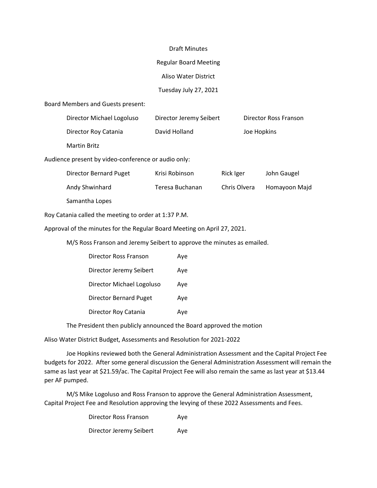#### Draft Minutes

### Regular Board Meeting

Aliso Water District

# Tuesday July 27, 2021

### Board Members and Guests present:

| Director Michael Logoluso | Director Jeremy Seibert | Director Ross Franson |
|---------------------------|-------------------------|-----------------------|
| Director Roy Catania      | David Holland           | Joe Hopkins           |
| Martin Britz              |                         |                       |

Audience present by video-conference or audio only:

| Director Bernard Puget | Krisi Robinson  | Rick Iger    | John Gaugel   |
|------------------------|-----------------|--------------|---------------|
| Andy Shwinhard         | Teresa Buchanan | Chris Olvera | Homayoon Majd |
| Samantha Lopes         |                 |              |               |

Roy Catania called the meeting to order at 1:37 P.M.

Approval of the minutes for the Regular Board Meeting on April 27, 2021.

M/S Ross Franson and Jeremy Seibert to approve the minutes as emailed.

| Director Ross Franson     | Aye |
|---------------------------|-----|
| Director Jeremy Seibert   | Aye |
| Director Michael Logoluso | Ave |
| Director Bernard Puget    | Aye |
| Director Roy Catania      | Ave |

The President then publicly announced the Board approved the motion

Aliso Water District Budget, Assessments and Resolution for 2021-2022

 Joe Hopkins reviewed both the General Administration Assessment and the Capital Project Fee budgets for 2022. After some general discussion the General Administration Assessment will remain the same as last year at \$21.59/ac. The Capital Project Fee will also remain the same as last year at \$13.44 per AF pumped.

 M/S Mike Logoluso and Ross Franson to approve the General Administration Assessment, Capital Project Fee and Resolution approving the levying of these 2022 Assessments and Fees.

| Director Ross Franson   | Ave |
|-------------------------|-----|
| Director Jeremy Seibert | Ave |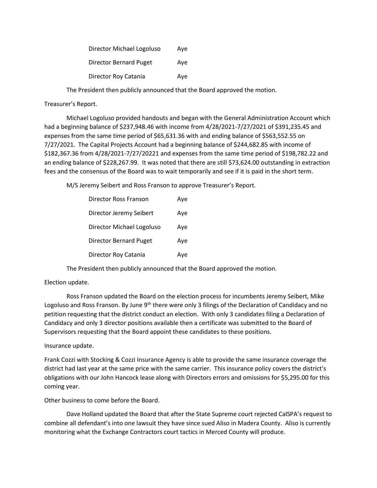| Director Michael Logoluso | Ave |
|---------------------------|-----|
| Director Bernard Puget    | Ave |
| Director Roy Catania      | Ave |

The President then publicly announced that the Board approved the motion.

## Treasurer's Report.

 Michael Logoluso provided handouts and began with the General Administration Account which had a beginning balance of \$237,948.46 with income from 4/28/2021-7/27/2021 of \$391,235.45 and expenses from the same time period of \$65,631.36 with and ending balance of \$563,552.55 on 7/27/2021. The Capital Projects Account had a beginning balance of \$244,682.85 with income of \$182,367.36 from 4/28/2021-7/27/20221 and expenses from the same time period of \$198,782.22 and an ending balance of \$228,267.99. It was noted that there are still \$73,624.00 outstanding in extraction fees and the consensus of the Board was to wait temporarily and see if it is paid in the short term.

M/S Jeremy Seibert and Ross Franson to approve Treasurer's Report.

| Director Ross Franson         | Aye |
|-------------------------------|-----|
| Director Jeremy Seibert       | Aye |
| Director Michael Logoluso     | Ave |
| <b>Director Bernard Puget</b> | Aye |
| Director Roy Catania          | Ave |

The President then publicly announced that the Board approved the motion.

## Election update.

 Ross Franson updated the Board on the election process for incumbents Jeremy Seibert, Mike Logoluso and Ross Franson. By June 9<sup>th</sup> there were only 3 filings of the Declaration of Candidacy and no petition requesting that the district conduct an election. With only 3 candidates filing a Declaration of Candidacy and only 3 director positions available then a certificate was submitted to the Board of Supervisors requesting that the Board appoint these candidates to these positions.

## Insurance update.

Frank Cozzi with Stocking & Cozzi Insurance Agency is able to provide the same insurance coverage the district had last year at the same price with the same carrier. This insurance policy covers the district's obligations with our John Hancock lease along with Directors errors and omissions for \$5,295.00 for this coming year.

Other business to come before the Board.

 Dave Holland updated the Board that after the State Supreme court rejected CalSPA's request to combine all defendant's into one lawsuit they have since sued Aliso in Madera County. Aliso is currently monitoring what the Exchange Contractors court tactics in Merced County will produce.